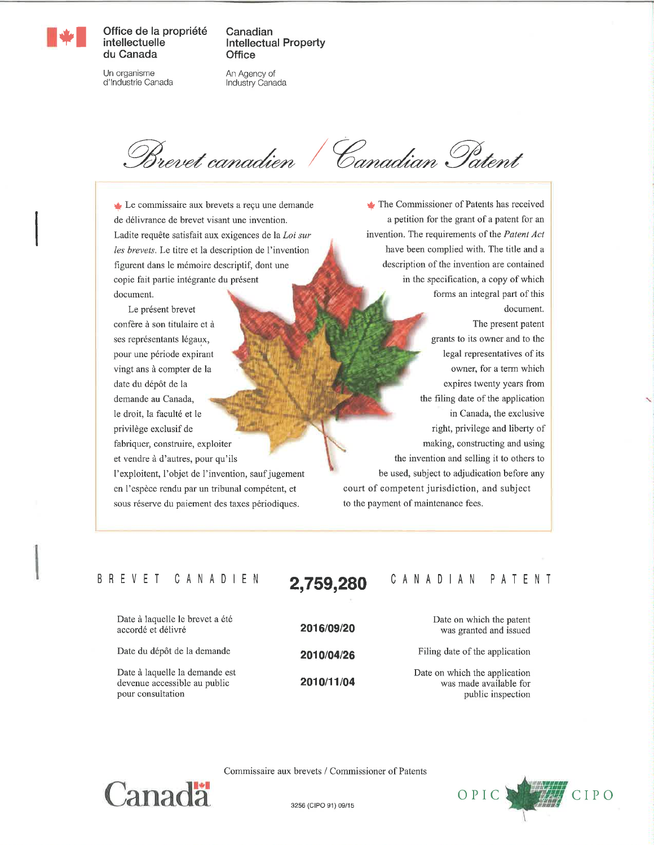

Office de la propriété intellectuelle du Canada

Canadian **Intellectual Property Office** 

Un organisme d'Industrie Canada An Agency of Industry Canada

Brevet canadien / Canadian Patent

Le commissaire aux brevets a reçu une demande de délivrance de brevet visant une invention. Ladite requête satisfait aux exigences de la Loi sur les brevets. Le titre et la description de l'invention figurent dans le mémoire descriptif, dont une copie fait partie intégrante du présent document.

Le présent brevet confère à son titulaire et à ses représentants légaux, pour une période expirant vingt ans à compter de la date du dépôt de la demande au Canada, le droit, la faculté et le privilège exclusif de fabriquer, construire, exploiter et vendre à d'autres, pour qu'ils l'exploitent, l'objet de l'invention, sauf jugement en l'espèce rendu par un tribunal compétent, et sous réserve du paiement des taxes périodiques.

The Commissioner of Patents has received a petition for the grant of a patent for an invention. The requirements of the Patent Act have been complied with. The title and a description of the invention are contained in the specification, a copy of which forms an integral part of this document. The present patent grants to its owner and to the legal representatives of its owner, for a term which expires twenty years from the filing date of the application in Canada, the exclusive right, privilege and liberty of making, constructing and using the invention and selling it to others to be used, subject to adjudication before any court of competent jurisdiction, and subject to the payment of maintenance fees.

#### B R E V E T C A N A D I E N

Date à laquelle le brevet a été accordé et délivré

Date du dépôt de la demande

Date à laquelle la demande est devenue accessible au public pour consultation

2016/09/20 2010/04/26 2010/11/04

2,759,280

## CANADIAN PATENT

Date on which the patent was granted and issued

Filing date of the application

Date on which the application was made available for public inspection



Commissaire aux brevets / Commissioner of Patents

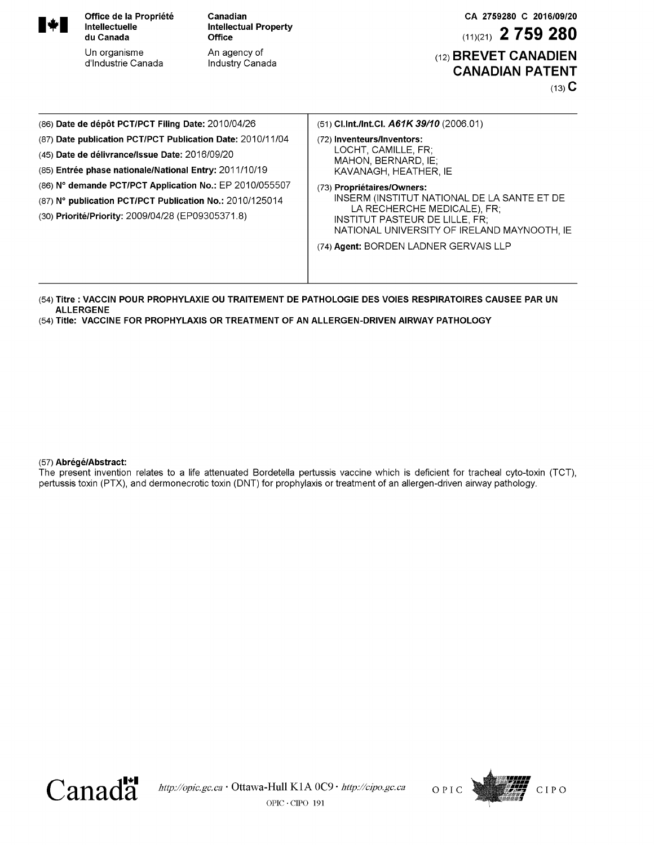| $\blacktriangleright$                                                                                                                                                                                                                                                                                                                              | Office de la Propriété<br><b>Intellectuelle</b><br>du Canada<br>Un organisme<br>d'Industrie Canada | Canadian<br><b>Intellectual Property</b><br><b>Office</b><br>An agency of<br>Industry Canada | CA 2759280 C 2016/09/20<br>$(11)(21)$ 2 759 280<br>(12) BREVET CANADIEN<br><b>CANADIAN PATENT</b><br>$(13)$ C                                                                                                                                                                                                                           |  |  |  |  |
|----------------------------------------------------------------------------------------------------------------------------------------------------------------------------------------------------------------------------------------------------------------------------------------------------------------------------------------------------|----------------------------------------------------------------------------------------------------|----------------------------------------------------------------------------------------------|-----------------------------------------------------------------------------------------------------------------------------------------------------------------------------------------------------------------------------------------------------------------------------------------------------------------------------------------|--|--|--|--|
| (86) Date de dépôt PCT/PCT Filing Date: 2010/04/26                                                                                                                                                                                                                                                                                                 |                                                                                                    |                                                                                              | (51) Cl.Int./Int.Cl. $A61K$ 39/10 (2006.01)                                                                                                                                                                                                                                                                                             |  |  |  |  |
| (87) Date publication PCT/PCT Publication Date: 2010/11/04<br>(45) Date de délivrance/Issue Date: 2016/09/20<br>(85) Entrée phase nationale/National Entry: 2011/10/19<br>(86) N° demande PCT/PCT Application No.: EP 2010/055507<br>(87) N° publication PCT/PCT Publication No.: 2010/125014<br>(30) Priorité/Priority: 2009/04/28 (EP09305371.8) |                                                                                                    |                                                                                              | (72) Inventeurs/Inventors:<br>LOCHT, CAMILLE, FR;<br>MAHON, BERNARD, IE:<br>KAVANAGH, HEATHER, IE<br>(73) Propriétaires/Owners:<br>INSERM (INSTITUT NATIONAL DE LA SANTE ET DE<br>LA RECHERCHE MEDICALE), FR;<br>INSTITUT PASTEUR DE LILLE, FR.<br>NATIONAL UNIVERSITY OF IRELAND MAYNOOTH, IE<br>(74) Agent: BORDEN LADNER GERVAIS LLP |  |  |  |  |

(54) **Titre : VACCIN POUR PROPHYLAXIE OU TRAITEMENT DE PATHOLOGIE DES VOIES RESPIRATOIRES CAUSEE PAR UN ALLERGENE**

(54) **Title: VACCINE FOR PROPHYLAXIS OR TREATMENT OF AN ALLERGEN-DRIVEN AIRWAY PATHOLOGY**

#### (57) **Abrégé/Abstract:**

The present invention relates to a life attenuated Bordetella pertussis vaccine which is deficient for tracheal cyto-toxin (TCT), pertussis toxin (ΡΤΧ), and dermonecrotic toxin (DNT) for prophylaxis or treatment of an allergen-driven airway pathology.



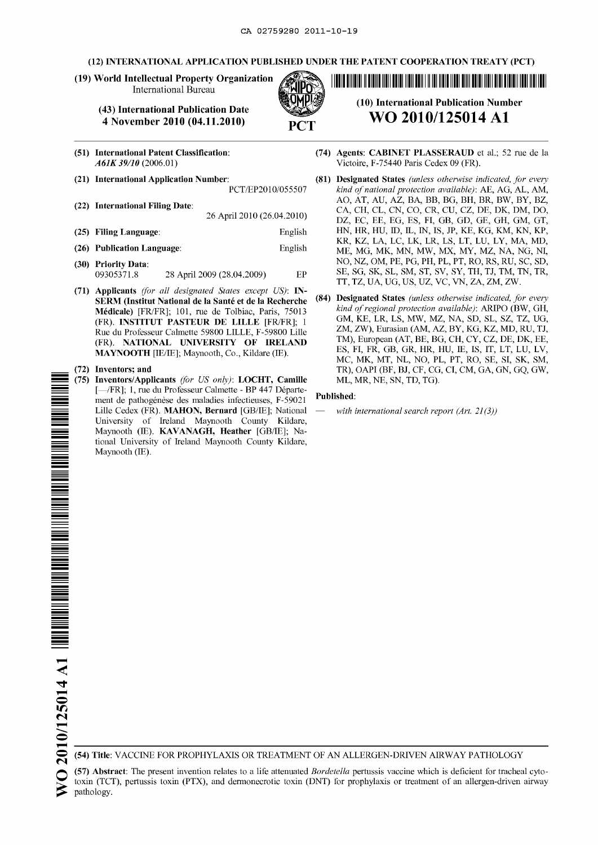#### **(12) INTERNATIONAL APPLICATION PUBLISHED UNDER THE PATENT COOPERATION TREATY (PCT)**

**(19) World Intellectual Property Organization** International Bureau

#### **(43) International Publication Date 4 November 2010** (04.11.2010)

- **(51) International Patent Classification:** *Α61Κ39/10 (*2006.01)
- **(21) International Application Number:**
	- PCT/EP2010/055507
- **(22) International Filing Date:** 26 April 2010(26.04.2010)
- **(25) Filing Language:** English
- **(26) Publication Language:** English
- **(30) Priority Data:** 09305371.8 28 April 2009 (28.04.2009) ΕΡ
- **(71) Applicants** *(for all designated States except US):* **IN-SERM (Institut National de la Santé et de la Recherche Médicale)** [FR/FR]; 101, rue de Tolbiac, Paris, 75013 (FR). **INSTITUT PASTEUR DE LILLE** [FR/FR]; <sup>1</sup> Rue du Professeur Calmette 59800 LILLE, F-59800 Lille (FR). **NATIONAL UNIVERSITY OF IRELAND MAYNOOTH** [IE/IE]; Maynooth, Co., Kildare (IE).

#### **(72) Inventors; and**

**(75) Inventors/Applicants** *(for US only)*: **LOCHT**, **Camille** [—/FR]; 1, rue du Professeur Calmette - BP 447 Département de pathogénèse des maladies infectieuses, F-59021 Lille Cedex (FR). **MAHON, Bernard** [GB/IE]; National University of Ireland Maynooth County Kildare, Maynooth (IE). **KAVANAGH, Heather** [GB/IE]; National University of Ireland Maynooth County Kildare, Maynooth (IE).

WO 2010/12501 AND AN ARTICLE AND ALL AND AN ARTICLE AND ARRANGEMENT OF A STATE OF A LITERATURE OF A LITERATURE

**(10) International Publication Number WO 2010/125014 Α1**

- **(74) Agents: CABINET PLASSERAUD** et al; 52 rue de la Victoire, F-75440 Paris Cedex 09 (FR).
- **(81) Designated States** *(unless otherwise indicated, for every kind ofnational protection available):* ΑΕ, AG, AL, AM, AO, AT, AU, ΑΖ, BA, ΒΒ, BG, ΒΗ, BR, BW, BY, ΒΖ, CA, CH, CL, CN, CO, CR, CU, CZ, DE, DK, DM, DO, DZ, EC, EE, EG, ES, FI, GB, GD, GE, GH, GM, GT, ΗΝ, HR, HU, ID, IL, IN, IS, JP, ΚΕ, KG, KM, ΚΝ, ΚΡ, KR, ΚΖ, LA, LC, LK, LR, LS, LT, LU, LY, MA, MD, ME, MG, ΜΚ, ΜΝ, MW, MX, MY, ΜΖ, NA, NG, NI, NO, ΝΖ, ΟΜ, PE, PG, PH, PL, PT, RO, RS, RU, SC, SD, SE, SG, SK, SL, SM, ST, SV, SY, TH, TJ, ΤΜ, ΤΝ, TR, ΤΤ, ΤΖ, UA, UG, US, UZ, VC, VN, ΖΑ, ΖΜ, ZW.
- **(84) Designated States** *(unless otherwise indicated, for every kind ofregional protection available):* AR.IPO (BW, GH, GM, ΚΕ, LR, LS, MW, ΜΖ, NA, SD, SL, SZ, ΤΖ, UG, ΖΜ, ZW), Eurasian (AM, ΑΖ, BY, KG, ΚΖ, MD, RU, TJ, ΤΜ), European (AT, BE, BG, CH, CY, CZ, DE, DK, EE, ES, FI, FR, GB, GR, HR, HU, IE, IS, IT, LT, LU, LV, MC, MK, MT, NL, NO, PL, PT, RO, SE, SI, SK, SM, TR), OAPI (BF, BJ, CF, CG, CI, CM, GA, GN, GQ, GW, ML, MR, NE, SN, TD, TG).

#### **Published:**

**—** *with international search report (Art. 21(3))*

(54) **Title:** VACCINE FOR PROPHYLAXIS OR TREATMENT OF AN ALLERGEN-DRIVEN AIRWAY PATHOLOGY

(57) **Abstract:** The present invention relates to a life attenuated *Bordetella* pertussis vaccine which is deficient for tracheal cytotoxin (TCT), pertussis toxin (ΡΤΧ), and dermonecrotic toxin (DNT) for prophylaxis or treatment of an allergen-driven airway pathology.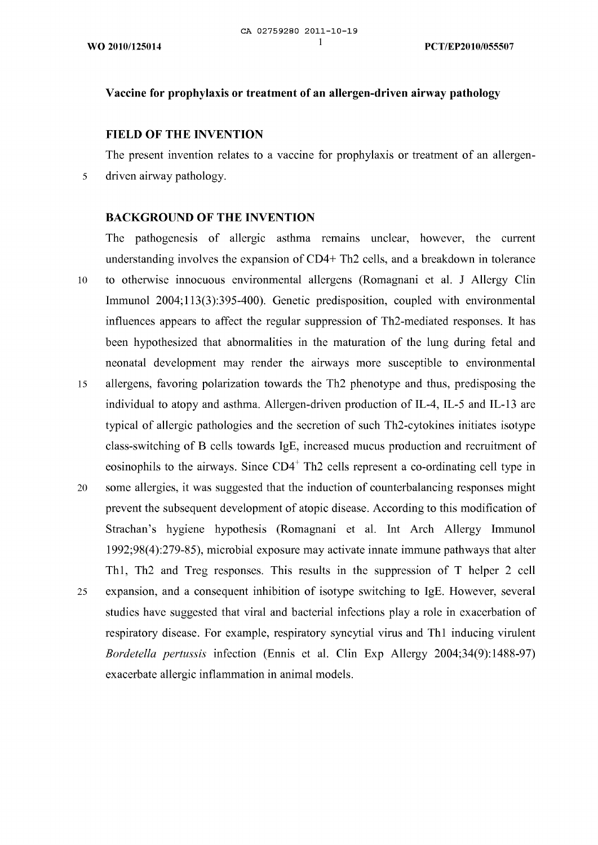## **Vaccine for prophylaxis or treatment of an allergen-driven airway pathology**

#### **FIELD OF THE INVENTION**

The present invention relates to a vaccine for prophylaxis or treatment of an allergendriven airway pathology.

#### **BACKGROUND OF THE INVENTION**

exacerbate allergic inflammation in animal models.

The pathogenesis of allergic asthma remains unclear, however, the current understanding involves the expansion of CD4+ Th2 cells, and a breakdown in tolerance 10 to otherwise innocuous environmental allergens (Romagnani et al. J Allergy Clin Immunol 2004; 113(3):395-400). Genetic predisposition, coupled with environmental influences appears to affect the regular suppression of Th2-mediated responses. It has been hypothesized that abnormalities in the maturation of the lung during fetal and neonatal development may render the airways more susceptible to environmental allergens, favoring polarization towards the Th2 phenotype and thus, predisposing the 15 individual to atopy and asthma. Allergen-driven production of IL-4, IL-5 and IL-13 are typical of allergic pathologies and the secretion of such Th2-cytokincs initiates isotype class-switching of Β cells towards IgE, increased mucus production and recruitment of eosinophils to the airways. Since  $CD4^+$  Th2 cells represent a co-ordinating cell type in some allergies, it was suggested that the induction of counterbalancing responses might 20 prevent the subsequent development of atopic disease. According to this modification of Strachan's hygiene hypothesis (Romagnani et al. Int Arch Allergy Immunol 1992;98(4):279-85), microbial exposure may activate innate immune pathways that alter Thl, Th2 and Treg responses. This results in the suppression of Τ helper 2 cell expansion, and a consequent inhibition of isotype switching to IgE. However, several 25 studies have suggested that viral and bacterial infections play a role in exacerbation of respiratory disease. For example, respiratory syncytial virus and Thl inducing virulent *Bordetella pertussis* infection (Ennis et al. Clin Exp Allergy 2004;34(9): 1488-97)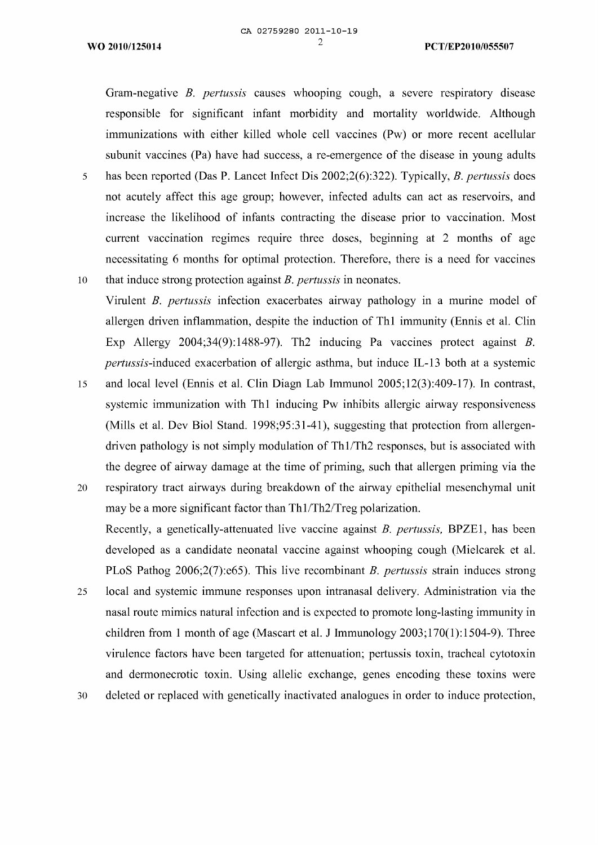Gram-negative *Β. pertussis* causes whooping cough, a severe respiratory disease responsible for significant infant morbidity and mortality worldwide. Although immunizations with either killed whole cell vaccines (Pw) or more recent acellular subunit vaccines (Pa) have had success, a re-emergence of the disease in young adults <sup>5</sup> has been reported (Das Ρ. Lancet Infect Dis 2002;2(6):322). Typically, *Β. pertussis* does not acutely affect this age group; however, infected adults can act as reservoirs, and increase the likelihood of infants contracting the disease prior to vaccination. Most

current vaccination regimes require three doses, beginning at 2 months of age necessitating 6 months for optimal protection. Therefore, there is a need for vaccines 10 that induce strong protection against *Β. pertussis* in neonates.

Virulent *Β. pertussis* infection exacerbates airway pathology in a murine model of allergen driven inflammation, despite the induction of Thl immunity (Ennis et al. Clin Exp Allergy 2004;34(9): 1488-97). Th2 inducing Pa vaccines protect against *Β. pertussis*-induced exacerbation of allergic asthma, but induce IL-13 both at a systemic

<sup>15</sup> and local level (Ennis et al. Clin Diagn Lab Immunol 2005;12(3):409-17). In contrast, systemic immunization with Thl inducing Pw inhibits allergic airway responsiveness (Mills et al. Dev Biol Stand. 1998;95:31-41), suggesting that protection from allergendriven pathology is not simply modulation of Thl/Th2 responses, but is associated with the degree of airway damage at the time of priming, such that allergen priming via the

- 20 respiratory tract airways during breakdown of the airway epithelial mesenchymal unit may be a more significant factor than Thl/Th2/Treg polarization. Recently, a genetically-attenuated live vaccine against *Β. pertussis,* ΒΡΖΕ1, has been developed as a candidate neonatal vaccine against whooping cough (Mielcarek et al. PLoS Pathog 2006;2(7):℮65). This live recombinant *Β. pertussis* strain induces strong
- 25 local and systemic immune responses upon intranasal delivery. Administration via the nasal route mimics natural infection and is expected to promote long-lasting immunity in children from <sup>1</sup> month of age (Mascart et al. J Immunology 2003;170(1):1504-9). Three virulence factors have been targeted for attenuation; pertussis toxin, tracheal cytotoxin and dermonecrotic toxin. Using allelic exchange, genes encoding these toxins were

30 deleted or replaced with genetically inactivated analogues in order to induce protection,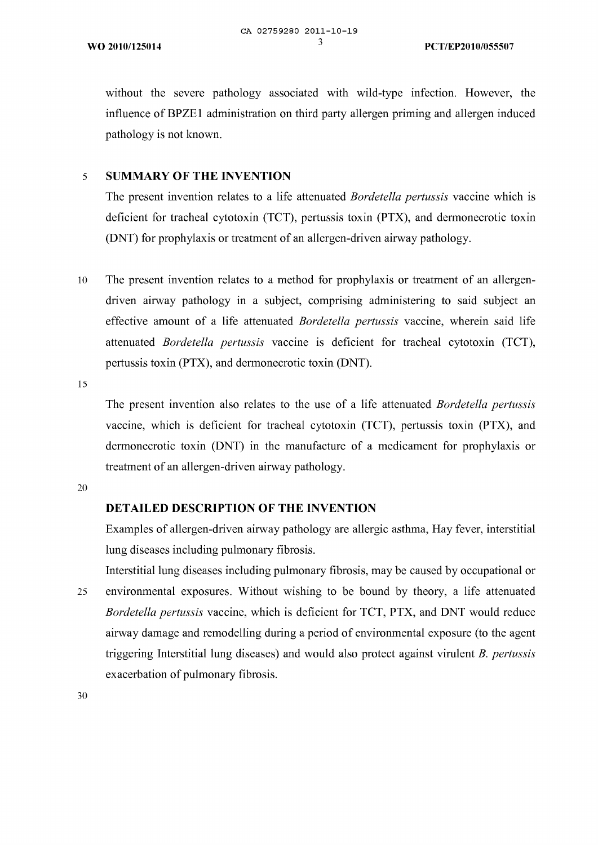without the severe pathology associated with wild-type infection. However, the influence of BPZE1 administration on third party allergen priming and allergen induced pathology is not known.

## <sup>5</sup> **SUMMARY OF THE INVENTION**

The present invention relates to a life attenuated *Bordetella pertussis* vaccine which is deficient for tracheal cytotoxin (TCT), pertussis toxin (ΡΤΧ), and dermonecrotic toxin (DNT) for prophylaxis or treatment of an allergen-driven airway pathology.

<sup>10</sup> The present invention relates to a method for prophylaxis or treatment of an allergendriven airway pathology in a subject, comprising administering to said subject an effective amount of a life attenuated *Bordetella pertussis* vaccine, wherein said life attenuated *Bordetella pertussis* vaccine is deficient for tracheal cytotoxin (TCT), pertussis toxin (ΡΤΧ), and dermonecrotic toxin (DNT).

15

The present invention also relates to the use of a life attenuated *Bordetella pertussis* vaccine, which is deficient for tracheal cytotoxin (TCT), pertussis toxin (ΡΤΧ), and dermonecrotic toxin (DNT) in the manufacture of a medicament for prophylaxis or treatment of an allergen-driven airway pathology.

20

## **DETAILED DESCRIPTION OF THE INVENTION**

Examples of allergen-driven airway pathology are allergic asthma, Hay fever, interstitial lung diseases including pulmonary fibrosis.

Interstitial lung diseases including pulmonary fibrosis, may be caused by occupational or 25 environmental exposures. Without wishing to be bound by theory, a life attenuated *Bordetella pertussis* vaccine, which is deficient for TCT, ΡΤΧ, and DNT would reduce airway damage and remodelling during a period of environmental exposure (to the agent triggering Interstitial lung diseases) and would also protect against virulent *Β. pertussis* exacerbation of pulmonary fibrosis.

30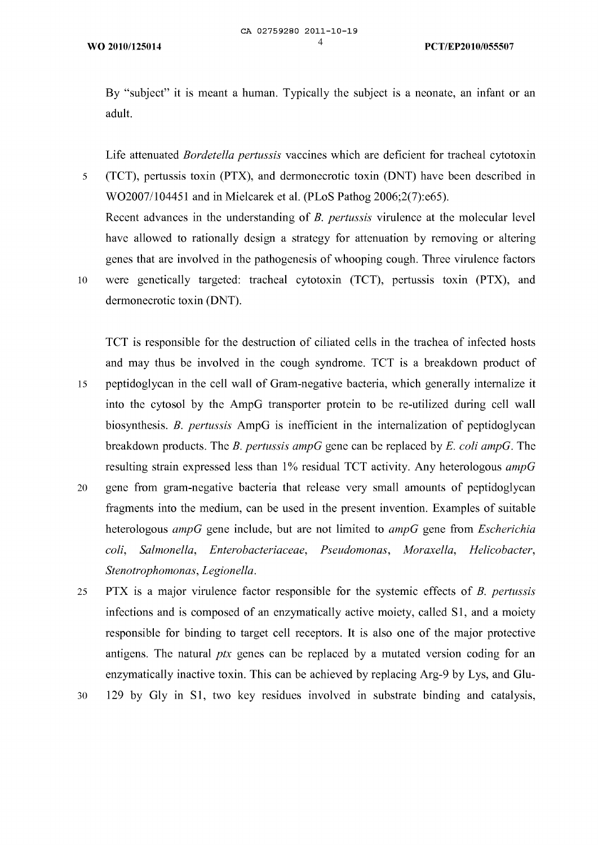By "subject" it is meant a human. Typically the subject is a neonate, an infant or an adult.

Life attenuated *Bordetella pertussis* vaccines which are deficient for tracheal cytotoxin (TCT), pertussis toxin (ΡΤΧ), and dermonecrotic toxin (DNT) have been described in 5 WO2007/104451 and in Mielcarek et al. (PLoS Pathog 2006;2(7):e65). Recent advances in the understanding of *Β. pertussis* virulence at the molecular level have allowed to rationally design a strategy for attenuation by removing or altering genes that are involved in the pathogenesis of whooping cough. Three virulence factors 10 were genetically targeted: tracheal cytotoxin (TCT), pertussis toxin (ΡΤΧ), and dermonecrotic toxin (DNT).

TCT is responsible for the destruction of ciliated cells in the trachea of infected hosts and may thus be involved in the cough syndrome. TCT is a breakdown product of 15 peptidoglycan in the cell wall of Gram-negative bacteria, which generally internalize it into the cytosol by the AmpG transporter protein to be re-utilized during cell wall biosynthesis. *Β. pertussis* AmpG is inefficient in the internalization of peptidoglycan breakdown products. The *Β. pertussis ampG* gene can be replaced by *Ε. coli ampG.* The resulting strain expressed less than 1% residual TCT activity. Any heterologous *ampG* gene from gram-negative bacteria that release very small amounts of peptidoglycan 20 fragments into the medium, can be used in the present invention. Examples of suitable heterologous *ampG* gene include, but are not limited to *ampG* gene from *Escherichia*

ΡΤΧ is a major virulence factor responsible for the systemic effects of *Β. pertussis* 25 infections and is composed of an enzymatically active moiety, called SI, and a moiety responsible for binding to target cell receptors. It is also one of the major protective antigens. The natural *ptx* genes can be replaced by a mutated version coding for an enzymatically inactive toxin. This can be achieved by replacing Arg-9 by Lys, and Glu-

*Stenotrophomonas, Legionella.*

*coli, Salmonella, Enterobacteriaceae, Pseudomonas, Moraxella, Elelicobacter,*

129 by Gly in SI, two key residues involved in substrate binding and catalysis, 30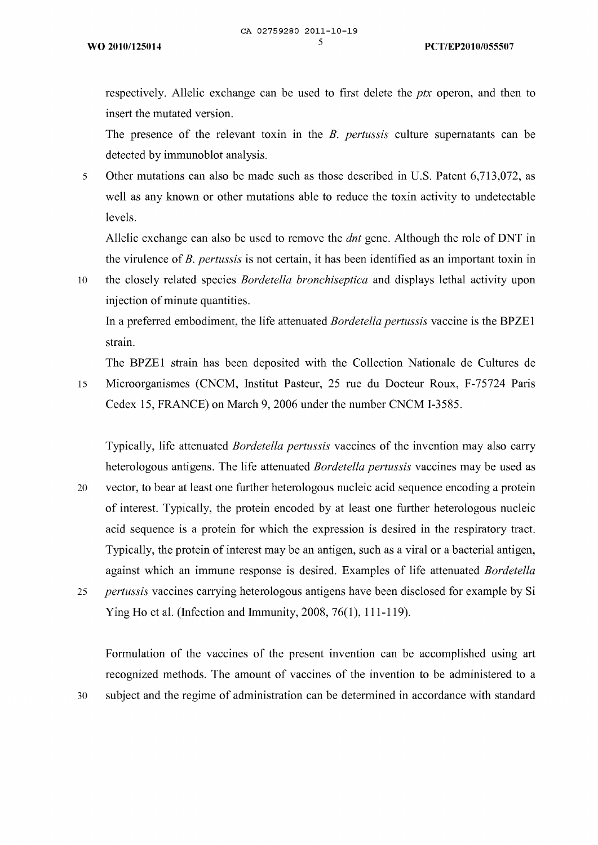respectively. Allelic exchange can be used to first delete the *ptx* operon, and then to insert the mutated version.

The presence of the relevant toxin in the *Β. pertussis* culture supernatants can be detected by immunoblot analysis.

<sup>5</sup> Other mutations can also be made such as those described in U.S. Patent 6,713,072, as well as any known or other mutations able to reduce the toxin activity to undetectable levels.

Allelic exchange can also be used to remove the *dnt* gene. Although the role of DNT in the virulence of*Β. pertussis* is not certain, it has been identified as an important toxin in

10 the closely related species *Bordetella bronchiseptica* and displays lethal activity upon injection of minute quantities.

In a preferred embodiment, the life attenuated *Bordetella pertussis* vaccine is the ΒΡΖΕ1 strain.

The ΒΡΖΕ1 strain has been deposited with the Collection Nationale de Cultures de

<sup>15</sup> Microorganismes (CNCM, Institut Pasteur, 25 rue du Docteur Roux, F-75724 Paris Cedex 15, FRANCE) on March 9, 2006 under the number CNCM 1-3585.

Typically, life attenuated *Bordetella pertussis* vaccines of the invention may also carry heterologous antigens. The life attenuated *Bordetella pertussis* vaccines may be used as 20 vector, to bear at least one further heterologous nucleic acid sequence encoding a protein of interest. Typically, the protein encoded by at least one further heterologous nucleic acid sequence is a protein for which the expression is desired in the respiratory tract. Typically, the protein of interest may be an antigen, such as a viral or a bacterial antigen, against which an immune response is desired. Examples of life attenuated *Bordetella*

25 *pertussis* vaccines carrying heterologous antigens have been disclosed for example by Si Ying Ho et al. (Infection and Immunity, 2008, 76(1), 111-119).

Formulation of the vaccines of the present invention can be accomplished using art recognized methods. The amount of vaccines of the invention to be administered to a <sup>30</sup> subject and the regime of administration can be determined in accordance with standard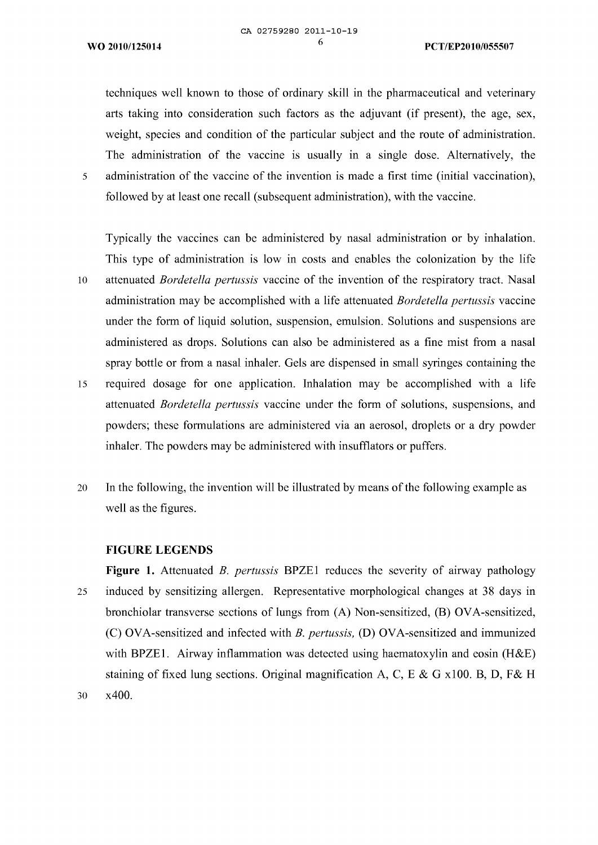techniques well known to those of ordinary skill in the pharmaceutical and veterinary arts taking into consideration such factors as the adjuvant (if present), the age, sex, weight, species and condition of the particular subject and the route of administration. The administration of the vaccine is usually in a single dose. Alternatively, the <sup>5</sup> administration of the vaccine of the invention is made a first time (initial vaccination), followed by at least one recall (subsequent administration), with the vaccine.

Typically the vaccines can be administered by nasal administration or by inhalation. This type of administration is low in costs and enables the colonization by the life <sup>10</sup> attenuated *Bordetella pertussis* vaccine of the invention of the respiratory tract. Nasal administration may be accomplished with a life attenuated *Bordetella pertussis* vaccine under the form of liquid solution, suspension, emulsion. Solutions and suspensions are administered as drops. Solutions can also be administered as a fine mist from a nasal spray bottle or from a nasal inhaler. Gels are dispensed in small syringes containing the

- <sup>15</sup> required dosage for one application. Inhalation may be accomplished with a life attenuated *Bordetella pertussis* vaccine under the form of solutions, suspensions, and powders; these formulations are administered via an aerosol, droplets or a dry powder inhaler. The powders may be administered with insufflators or puffers.
- 20 In the following, the invention will be illustrated by means of the following example as well as the figures.

#### **FIGURE LEGENDS**

**Figure 1.** Attenuated *Β. pertussis* ΒΡΖΕ1 reduces the severity of airway pathology 25 induced by sensitizing allergen. Representative morphological changes at 38 days in bronchiolar transverse sections of lungs from (A) Non-sensitized, (Β) OVA-sensitized, (C) OVA-sensitized and infected with *Β. pertussis,* **(D)** OVA-sensitized and immunized with ΒΡΖΕ1. Airway inflammation was detected using haematoxylin and eosin (H&E) staining of fixed lung sections. Original magnification A, C, Ε & G χ100. B, **D,** F& Η 30 χ400.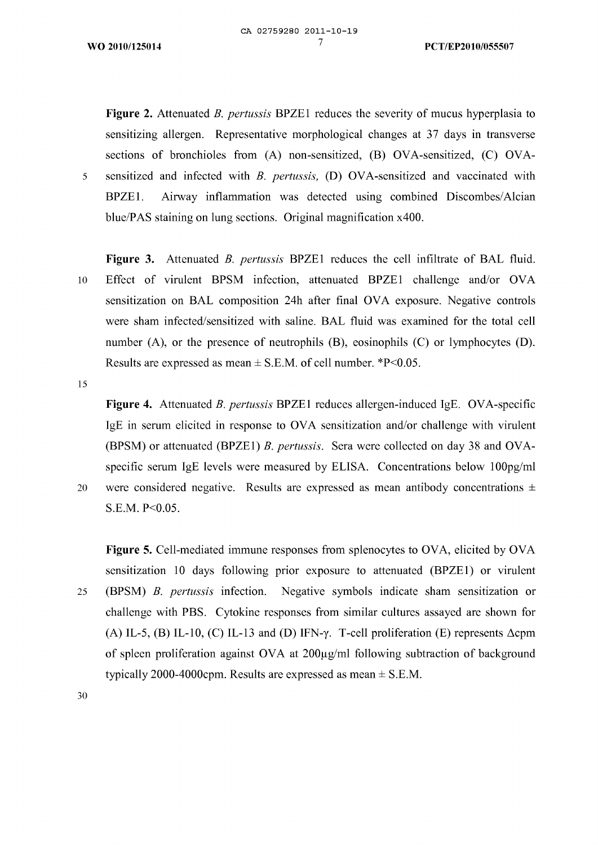**Figure 2.** Attenuated *Β. pertussis* ΒΡΖΕ1 reduces the severity of mucus hyperplasia to sensitizing allergen. Representative morphological changes at 37 days in transverse sections of bronchioles from (A) non-sensitized, (B) OVA-sensitized, (C) OVA-<sup>5</sup> sensitized and infected with *Β. pertussis,* (D) OVA-sensitized and vaccinated with ΒΡΖΕ1. Airway inflammation was detected using combined Discombes/Alcian blue/PAS staining on lung sections. Original magnification χ400.

**Figure 3.** Attenuated *Β. pertussis* ΒΡΖΕ1 reduces the cell infiltrate of BAL fluid. <sup>10</sup> Effect of virulent BPSM infection, attenuated ΒΡΖΕ1 challenge and/or OVA sensitization on BAL composition 24h after final OVA exposure. Negative controls were sham infected/sensitized with saline. BAL fluid was examined for the total cell number (A), or the presence of neutrophils (Β), eosinophils (C) or lymphocytes (D). Results are expressed as mean  $\pm$  S.E.M. of cell number. \*P<0.05.

15

**Figure 4.** Attenuated *Β. pertussis* BPΖΕ1 reduces allergen-induced IgE. OVA-specific IgE in serum elicited in response to OVA sensitization and/or challenge with virulent (BPSM) or attenuated (ΒΡΖΕ1) *Β. pertussis.* Sera were collected on day 38 and OVAspecific serum IgE levels were measured by ELISA. Concentrations below 100pg/ml 20 were considered negative. Results are expressed as mean antibody concentrations  $\pm$ S.E.M. P<0.05.

**Figure 5.** Cell-mediated immune responses from splenocytes to OVA, elicited by OVA sensitization 10 days following prior exposure to attenuated (ΒΡΖΕ1) or virulent 25 (BPSM) *Β. pertussis* infection. Negative symbols indicate sham sensitization or challenge with PBS. Cytokine responses from similar cultures assayed are shown for (A) IL-5, (B) IL-10, (C) IL-13 and (D) IFN- $\gamma$ . T-cell proliferation (E) represents  $\Delta$ cpm of spleen proliferation against OVA at  $200\mu\text{g/ml}$  following subtraction of background typically 2000-4000cpm. Results are expressed as mean  $\pm$  S.E.M.

30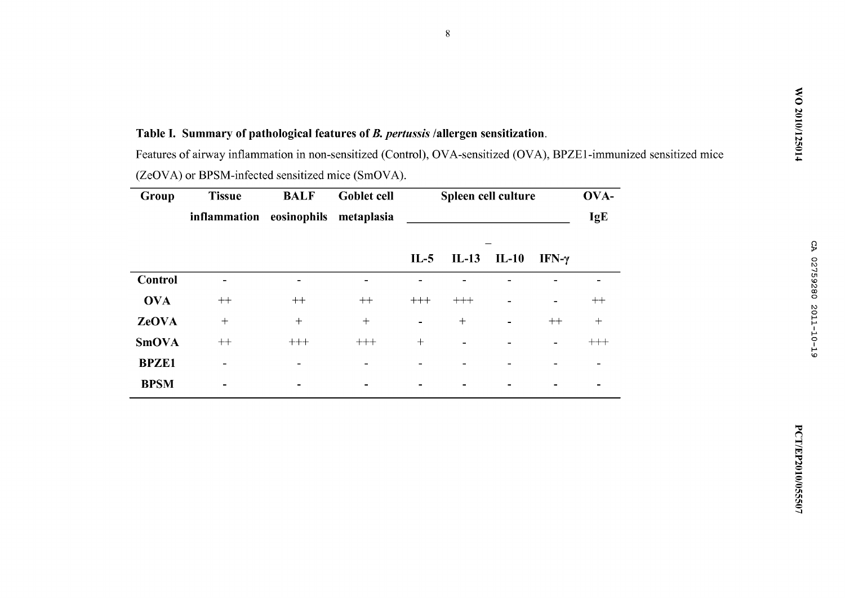# CA 02759280 2011-10-19

## **Table I. Summary of pathological features of***Β. pertussis* **/allergen sensitization.**

Features of airway inflammation in non-sensitized (Control), OVA-sensitized (OVA), ΒΡΖΕ1-immunized sensitized mice (Ζ℮ΟΥΑ) or BPSM-infected sensitized mice (SmOVA).

| Group | Tissue                              | <b>BALF</b> | <b>Goblet cell</b> | Spleen cell culture | OVA- |
|-------|-------------------------------------|-------------|--------------------|---------------------|------|
|       | inflammation eosinophils metaplasia |             |                    |                     | IgE  |

|                |        |                          |                          | $IL-5$                   | $IL-13$ $IL-10$          |                          | IFN- $\gamma$            |                          |
|----------------|--------|--------------------------|--------------------------|--------------------------|--------------------------|--------------------------|--------------------------|--------------------------|
| <b>Control</b> | $\,$   | $\qquad \qquad$          | $\overline{\phantom{0}}$ |                          |                          |                          |                          |                          |
| <b>OVA</b>     | $++$   | $++$                     | $++$                     | $+++$                    | $+++$                    | $\overline{\phantom{a}}$ | $\sim$                   | $^{\rm ++}$              |
| <b>ZeOVA</b>   | $^{+}$ | $+$                      | $^{+}$                   | $\overline{\phantom{a}}$ | $^{+}$                   | $\sim$                   | $++$                     | $^{+}$                   |
| <b>SmOVA</b>   | $++$   | $+++$                    | $^{+++}$                 | $+$                      | $\overline{\phantom{0}}$ | $\overline{\phantom{0}}$ | $\overline{\phantom{0}}$ | $^{+++}$                 |
| <b>BPZE1</b>   | $\,$   | $\overline{\phantom{0}}$ | $\overline{\phantom{0}}$ | $\overline{\phantom{0}}$ | $\,$                     | -                        | -                        | $\overline{\phantom{0}}$ |
| <b>BPSM</b>    | ۰      | -                        | ۰                        | ۰                        |                          | ۰                        |                          |                          |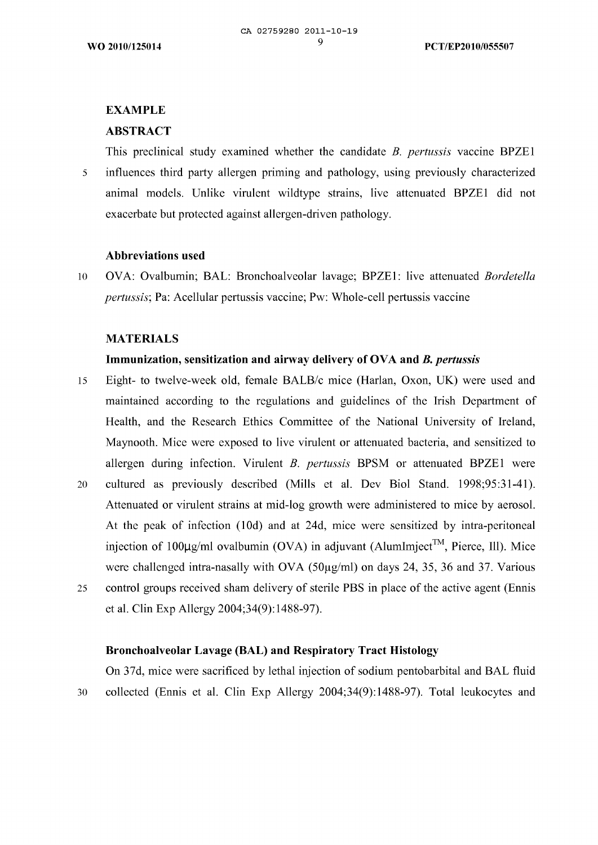## **EXAMPLE**

## **ABSTRACT**

This preclinical study examined whether the candidate *Β. pertussis* vaccine ΒΡΖΕ1 <sup>5</sup> influences third party allergen priming and pathology, using previously characterized animal models. Unlike virulent wildtype strains, live attenuated ΒΡΖΕ1 did not exacerbate but protected against allergen-driven pathology.

## **Abbreviations used**

10 OVA: Ovalbumin; BAL: Bronchoalveolar lavage; ΒΡΖΕ1: live attenuated *Bordetella pertussis*; Pa: Acellular pertussis vaccine; Pw: Whole-cell pertussis vaccine

## **MATERIALS**

## **Immunization, sensitization and airway delivery of OVA and** *Β. pertussis*

- <sup>15</sup> Eight- to twelve-week old, female BALB/c mice (Harlan, Οχοη, UK) were used and maintained according to the regulations and guidelines of the Irish Department of Health, and the Research Ethics Committee of the National University of Ireland, Maynooth. Mice were exposed to live virulent or attenuated bacteria, and sensitized to allergen during infection. Virulent *Β. pertussis* BPSM or attenuated ΒΡΖΕ1 were 20 cultured as previously described (Mills et al. Dev Biol Stand. 1998;95:31-41). Attenuated or virulent strains at mid-log growth were administered to mice by aerosol. At the peak of infection (10d) and at 24d, mice were sensitized by intra-peritoneal injection of 100 $\mu$ g/ml ovalbumin (OVA) in adjuvant (Alumlmject<sup>™</sup>, Pierce, Ill). Mice were challenged intra-nasally with OVA ( $50\mu$ g/ml) on days 24, 35, 36 and 37. Various
- 25 control groups received sham delivery of sterile PBS in place of the active agent (Ennis et al. Clin Exp Allergy 2004;34(9): 1488-97).

## **Bronchoalveolar Lavage (BAL) and Respiratory Tract Histology**

On 37d, mice were sacrificed by lethal injection of sodium pentobarbital and BAL fluid 30 collected (Ennis et al. Clin Exp Allergy 2004;34(9): 1488-97). Total leukocytes and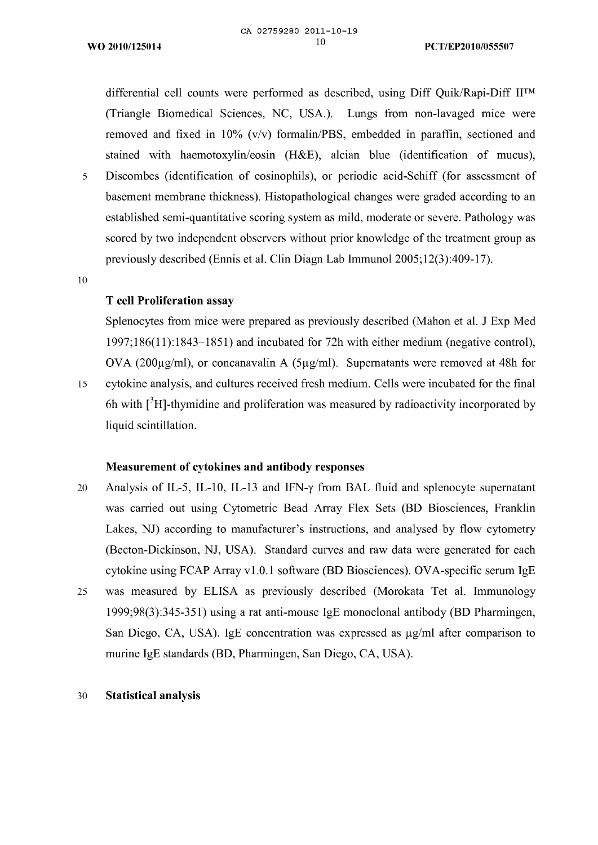differential cell counts were performed as described, using Diff Quik/Rapi-Diff II<sup>™</sup> (Triangle Biomedical Sciences, NC, USA.). Lungs from non-lavaged mice were removed and fixed in 10% (ν/ν) formalin/PBS, embedded in paraffin, sectioned and stained with haemotoxylin/eosin (H&E), alcian blue (identification of mucus), <sup>5</sup> Discombes (identification of eosinophils), or periodic acid-Schiff (for assessment of basement membrane thickness). Histopathological changes were graded according to an established semi-quantitative scoring system as mild, moderate or severe. Pathology was scored by two independent observers without prior knowledge of the treatment group as previously described (Ennis et al. Clin Diagn Lab Immunol 2005;12(3):409-17).

10

## **Τ cell Proliferation assay**

Splenocytes from mice were prepared as previously described (Mahon et al. J Exp Med 1997;186(11): 1843—1851) and incubated for 72h with either medium (negative control), OVA (200 $\mu$ g/ml), or concanavalin A (5 $\mu$ g/ml). Supernatants were removed at 48h for <sup>15</sup> cytokine analysis, and cultures received fresh medium. Cells were incubated for the final 6h with  $\int^3 H$ -thymidine and proliferation was measured by radioactivity incorporated by

liquid scintillation.

## **Measurement of cytokines and antibody responses**

- 20 Analysis of IL-5, IL-10, IL-13 and IFN- $\gamma$  from BAL fluid and splenocyte supernatant was carried out using Cytometric Bead Array Flex Sets (BD Biosciences, Franklin Lakes, NJ) according to manufacturer's instructions, and analysed by flow cytometry (Becton-Dickinson, NJ, USA). Standard curves and raw data were generated for each cytokine using FCAP Array vl.0.1 software (BD Biosciences). OVA-specific serum IgE
- 25 was measured by ELISA as previously described (Morokata Tet al. Immunology 1999;98(3):345-351) using a rat anti-mouse IgE monoclonal antibody (BD Pharmingen, San Diego, CA, USA). IgE concentration was expressed as  $\mu$ g/ml after comparison to murine IgE standards (BD, Pharmingen, San Diego, CA, USA).

#### 30 **Statistical analysis**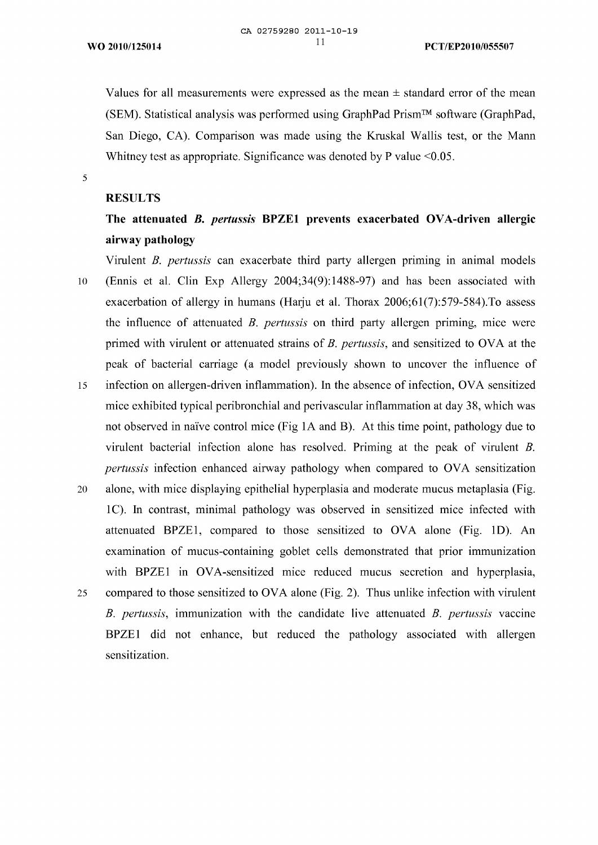Values for all measurements were expressed as the mean  $\pm$  standard error of the mean (SEM). Statistical analysis was performed using GraphPad Prism™ software (GraphPad, San Diego, CA). Comparison was made using the Kruskal Wallis test, or the Mann Whitney test as appropriate. Significance was denoted by P value <0.05.

5

#### **RESULTS**

# **The attenuated** *Β. pertussis* **ΒΡΖΕ1 prevents exacerbated OVA-driven allergic airway pathology**

Virulent *Β. pertussis* can exacerbate third party allergen priming in animal models 10 (Ennis et al. Clin Exp Allergy 2004;34(9): 1488-97) and has been associated with exacerbation of allergy in humans (Harju et al. Thorax 2006;61(7):579-584).Το assess the influence of attenuated *Β. pertussis* on third party allergen priming, mice were primed with virulent or attenuated strains of *Β. pertussis,* and sensitized to OVA at the peak of bacterial carriage (a model previously shown to uncover the influence of

- 15 infection on allergen-driven inflammation). In the absence of infection, OVA sensitized mice exhibited typical peribronchial and perivascular inflammation at day 38, which was not observed in naïve control mice (Fig 1A and Β). At this time point, pathology due to virulent bacterial infection alone has resolved. Priming at the peak of virulent *Β. pertussis* infection enhanced airway pathology when compared to OVA sensitization
- 20 alone, with mice displaying epithelial hyperplasia and moderate mucus metaplasia (Fig. 1C). In contrast, minimal pathology was observed in sensitized mice infected with attenuated ΒΡΖΕ1, compared to those sensitized to OVA alone (Fig. ID). An examination of mucus-containing goblet cells demonstrated that prior immunization with BPZE1 in OVA-sensitized mice reduced mucus secretion and hyperplasia, 25 compared to those sensitized to OVA alone (Fig. 2). Thus unlike infection with virulent *Β. pertussis,* immunization with the candidate live attenuated *Β. pertussis* vaccine ΒΡΖΕ1 did not enhance, but reduced the pathology associated with allergen sensitization.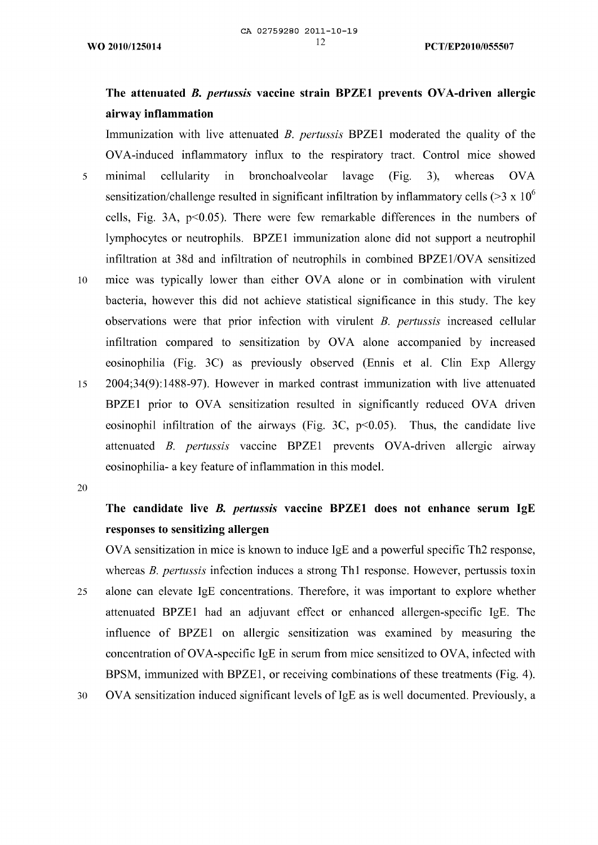# **The attenuated** *Β. pertussis* **vaccine strain ΒΡΖΕ1 prevents OVA-driven allergic airway inflammation**

Immunization with live attenuated *Β. pertussis* ΒΡΖΕ1 moderated the quality of the OVA-induced inflammatory influx to the respiratory tract. Control mice showed minimal cellularity in bronchoalveolar lavage (Fig. 3), whereas OVA 5 sensitization/challenge resulted in significant infiltration by inflammatory cells ( $>3 \times 10^6$ ) cells, Fig. 3Α, p<0.05). There were few remarkable differences in the numbers of lymphocytes or neutrophils. ΒΡΖΕ1 immunization alone did not support a neutrophil infiltration at 38d and infiltration of neutrophils in combined BPZE1/OVA sensitized 10 mice was typically lower than either OVA alone or in combination with virulent bacteria, however this did not achieve statistical significance in this study. The key observations were that prior infection with virulent *Β. pertussis* increased cellular infiltration compared to sensitization by OVA alone accompanied by increased eosinophilia (Fig. 3C) as previously observed (Ennis et al. Clin Exp Allergy 2004;34(9): 1488-97). However in marked contrast immunization with live attenuated 15 ΒΡΖΕ1 prior to OVA sensitization resulted in significantly reduced OVA driven eosinophil infiltration of the airways (Fig. 3C,  $p<0.05$ ). Thus, the candidate live attenuated *Β. pertussis* vaccine ΒΡΖΕ1 prevents OVA-driven allergic airway

20

# **The candidate live** *Β. pertussis* **vaccine ΒΡΖΕ1 does not enhance serum IgE responses to sensitizing allergen**

eosinophilia- a key feature of inflammation in this model.

OVA sensitization in mice is known to induce IgE and a powerful specific Th2 response, whereas *Β. pertussis* infection induces a strong Thl response. However, pertussis toxin

- alone can elevate IgE concentrations. Therefore, it was important to explore whether 25 attenuated ΒΡΖΕ1 had an adjuvant effect or enhanced allergen-specific IgE. The influence of ΒΡΖΕ1 on allergic sensitization was examined by measuring the concentration of OVA-specific IgE in serum from mice sensitized to OVA, infected with BPSM, immunized with BPZE1, or receiving combinations of these treatments (Fig. 4).
- OVA sensitization induced significant levels of IgE as is well documented. Previously, a 30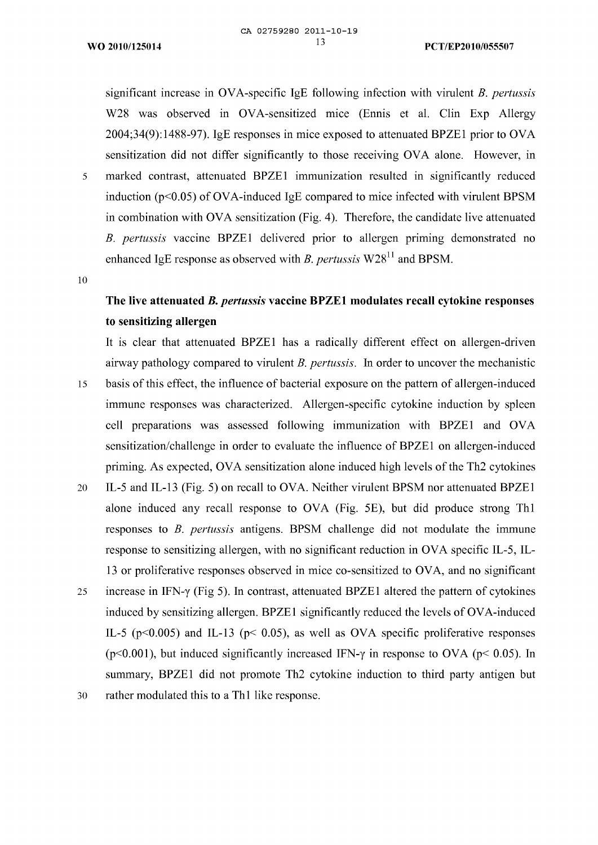significant increase in OVA-specific IgE following infection with virulent *Β. pertussis* W28 was observed in OVA-sensitized mice (Ennis et al. Clin Exp Allergy 2004;34(9): 1488-97). IgE responses in mice exposed to attenuated ΒΡΖΕ1 prior to OVA sensitization did not differ significantly to those receiving OVA alone. However, in <sup>5</sup> marked contrast, attenuated ΒΡΖΕ1 immunization resulted in significantly reduced induction (p<0.05) of OVA-induced IgE compared to mice infected with virulent BPSM in combination with OVA sensitization (Fig. 4). Therefore, the candidate live attenuated *Β. pertussis* vaccine ΒΡΖΕ1 delivered prior to allergen priming demonstrated no enhanced IgE response as observed with *Β. pertussis* W2811 and BPSM.

10

# **The live attenuated** *Β. pertussis* **vaccine ΒΡΖΕ1 modulates recall cytokine responses to sensitizing allergen**

It is clear that attenuated ΒΡΖΕ1 has a radically different effect on allergen-driven airway pathology compared to virulent *Β. pertussis.* In order to uncover the mechanistic

- 15 basis of this effect, the influence of bacterial exposure on the pattern of allergen-induced immune responses was characterized. Allergen-specific cytokine induction by spleen cell preparations was assessed following immunization with ΒΡΖΕ1 and OVA sensitization/challenge in order to evaluate the influence of ΒΡΖΕ1 on allergen-induced priming. As expected, OVA sensitization alone induced high levels of the Th2 cytokines
- 20 IL-5 and IL-13 (Fig. 5) on recall to OVA. Neither virulent BPSM nor attenuated BPZE1 alone induced any recall response to OVA (Fig. 5Ε), but did produce strong Thl responses to *Β. pertussis* antigens. BPSM challenge did not modulate the immune response to sensitizing allergen, with no significant reduction in OVA specific IL-5, IL-13 or proliferative responses observed in mice co-sensitized to OVA, and no significant
- <sup>25</sup> increase in IFN-y (Fig 5). In contrast, attenuated ΒΡΖΕ1 altered the pattern of cytokines induced by sensitizing allergen. ΒΡΖΕ1 significantly reduced the levels of OVA-induced IL-5 (p<0.005) and IL-13 (p< 0.05), as well as OVA specific proliferative responses ( $p$ <0.001), but induced significantly increased IFN- $\gamma$  in response to OVA ( $p$ <0.05). In summary, ΒΡΖΕ1 did not promote Th2 cytokine induction to third party antigen but
- 30 rather modulated this to a Thl like response.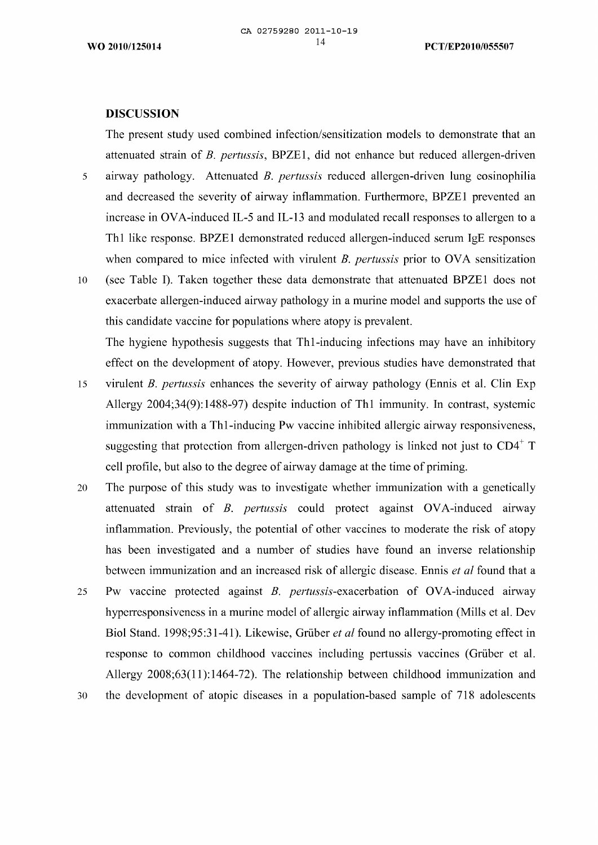#### **DISCUSSION**

The present study used combined infection/sensitization models to demonstrate that an attenuated strain of *Β. pertussis,* ΒΡΖΕ1, did not enhance but reduced allergen-driven

- airway pathology. Attenuated *Β. pertussis* reduced allergen-driven lung eosinophilia 5 and decreased the severity of airway inflammation. Furthermore, ΒΡΖΕ1 prevented an increase in OVA-induced IL-5 and IL-13 and modulated recall responses to allergen to a Thl like response. ΒΡΖΕ1 demonstrated reduced allergen-induced serum IgE responses when compared to mice infected with virulent *Β. pertussis* prior to OVA sensitization
- 10 (see Table I). Taken together these data demonstrate that attenuated ΒΡΖΕ1 does not exacerbate allergen-induced airway pathology in a murine model and supports the use of this candidate vaccine for populations where atopy is prevalent.

The hygiene hypothesis suggests that Thl-inducing infections may have an inhibitory effect on the development of atopy. However, previous studies have demonstrated that

- 15 virulent *Β. pertussis* enhances the severity of airway pathology (Ennis et al. Clin Exp Allergy 2004;34(9): 1488-97) despite induction of Thl immunity. In contrast, systemic immunization with a Thl-inducing Pw vaccine inhibited allergic airway responsiveness, suggesting that protection from allergen-driven pathology is linked not just to  $CD4^+$  T cell profile, but also to the degree of airway damage at the time of priming.
- The purpose of this study was to investigate whether immunization with a genetically 20 attenuated strain of *Β. pertussis* could protect against OVA-induced airway inflammation. Previously, the potential of other vaccines to moderate the risk of atopy has been investigated and a number of studies have found an inverse relationship between immunization and an increased risk of allergic disease. Ennis *et al* found that a
- Pw vaccine protected against *B. pertussis*-exacerbation of OVA-induced airway 25 hyperresponsiveness in a murine model of allergic airway inflammation (Mills et al. Dev Biol Stand. 1998;95:31-41). Likewise, Grüber *et al* found no allergy-promoting effect in response to common childhood vaccines including pertussis vaccines (Grüber et al. Allergy 2008;63(11): 1464-72). The relationship between childhood immunization and
- the development of atopic diseases in a population-based sample of 718 adolescents30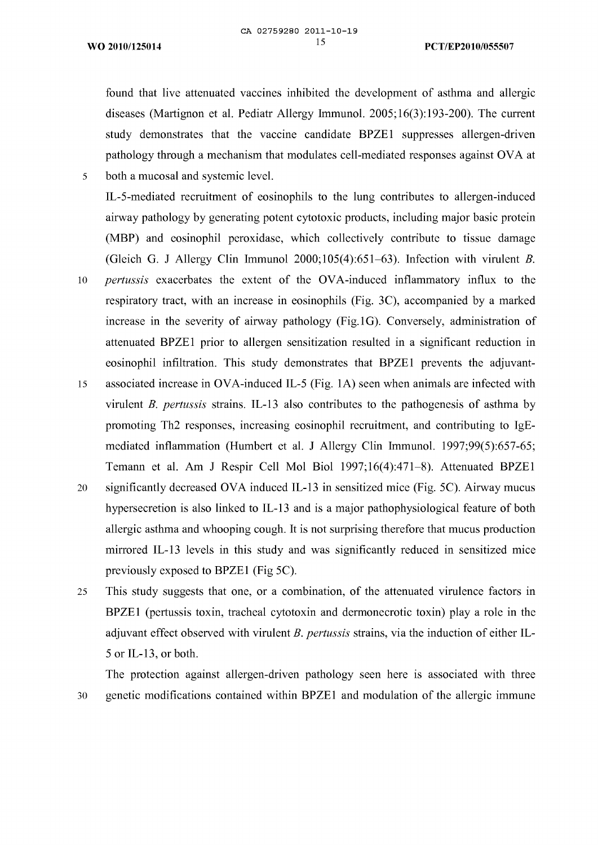found that live attenuated vaccines inhibited the development of asthma and allergic diseases (Martignon et al. Pediatr Allergy Immunol. 2005; 16(3): 193-200). The current study demonstrates that the vaccine candidate ΒΡΖΕ1 suppresses allergen-driven pathology through a mechanism that modulates cell-mediated responses against OVA at both a mucosal and systemic level.

- IL-5-mediated recruitment of eosinophils to the lung contributes to allergen-induced airway pathology by generating potent cytotoxic products, including major basic protein (ΜΒΡ) and eosinophil peroxidase, which collectively contribute to tissue damage (Gleich G. J Allergy Clin Immunol 2000;105(4):651-63). Infection with virulent *Β.*
- 10 *pertussis* exacerbates the extent of the OVA-induced inflammatory influx to the respiratory tract, with an increase in eosinophils (Fig. 3C), accompanied by a marked increase in the severity of airway pathology (Fig.lG). Conversely, administration of attenuated ΒΡΖΕ1 prior to allergen sensitization resulted in a significant reduction in eosinophil infiltration. This study demonstrates that ΒΡΖΕ1 prevents the adjuvant-
- associated increase in OVA-induced IL-5 (Fig. 1A) seen when animals are infected with 15 virulent *Β. pertussis* strains. IF-13 also contributes to the pathogenesis of asthma by promoting Th2 responses, increasing eosinophil recruitment, and contributing to IgEmediated inflammation (Humbert et al. J Allergy Clin Immunol. 1997;99(5):657-65; Temann et al. Am J Respir Cell Mol Biol 1997; 16(4):471—8). Attenuated ΒΡΖΕ1
- significantly decreased OVA induced IL-13 in sensitized mice (Fig. 5C). Airway mucus 20 hypersecretion is also linked to IL-13 and is a major pathophysiological feature of both allergic asthma and whooping cough. It is not surprising therefore that mucus production mirrored IL-13 levels in this study and was significantly reduced in sensitized mice previously exposed to BPZE1 (Fig 5C).
- This study suggests that one, or a combination, of the attenuated virulence factors in 25 ΒΡΖΕ1 (pertussis toxin, tracheal cytotoxin and dermonecrotic toxin) play a role in the adjuvant effect observed with virulent *Β. pertussis* strains, via the induction of either IF-5 or IL-13, or both.

The protection against allergen-driven pathology seen here is associated with three genetic modifications contained within ΒΡΖΕ1 and modulation of the allergic immune

30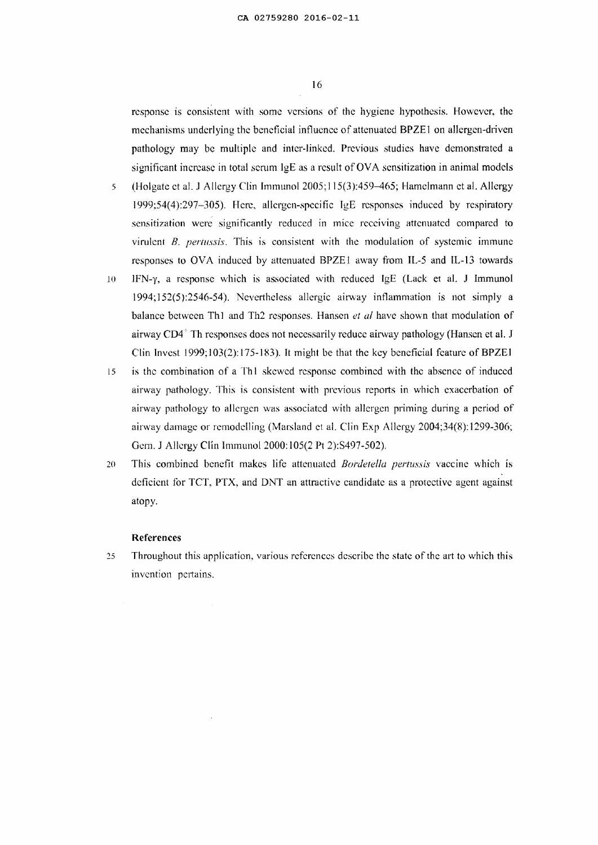response is consistent with some versions of the hygiene hypothesis. However, the mechanisms underlying the beneficial influence of attenuated ΒΡΖΕ1 on allergen-driven pathology may be multiple and inter-linked. Previous studies have demonstrated a significant increase in total serum IgE as a result of OVA sensitization in animal models

- 5 (Holgate et al. J Allergy Clin Immunol 2005;115(3):459-465; Hamelmann et al. Allergy 1999;54(4):297-305). Here, allergen-specific IgE responses induced by respiratory' sensitization were significantly reduced in mice receiving attenuated compared to virulent *Β. pertussis.* This is consistent with the modulation of systemic immune responses to OVA induced by attenuated ΒΡΖΕ1 away from IL-5 and IL-13 towards
- 10 IFN-y, a response which is associated with reduced IgE (Lack et al. J Immunol 1994; 152(5 ):2546-54). Nevertheless allergic airway inflammation is not simply a balance between Thl and Th2 responses. Hansen *et al* have shown that modulation of airway  $CD4^+$  Th responses does not necessarily reduce airway pathology (Hansen et al. J Clin Invest 1999; 103(2): 175-183), It might be that the key bénéficiai feature of ΒΡΖΕ1
- 15 is the combination of a Thl skewed response combined with the absence of induced airway pathology. This is consistent with previous reports in which exacerbation of airway pathology to allergen was associated with allergen priming during a period of airway damage or remodelling (Marsland et al. Clin Exp Allergy 2004;34(8):1299-306; Gem. J Allergy Clin Immunol 2000:105(2 Pt 2):8497-502).
- 20 This combined benefit makes life attenuated *Bonletella pertussis* vaccine which is deficient for TCT, ΡΤΧ, and DNT an attractive candidate as a protective agent against atopy.

#### **References**

25 Throughout this application, various references describe the state ofthe art to which this invention pertains.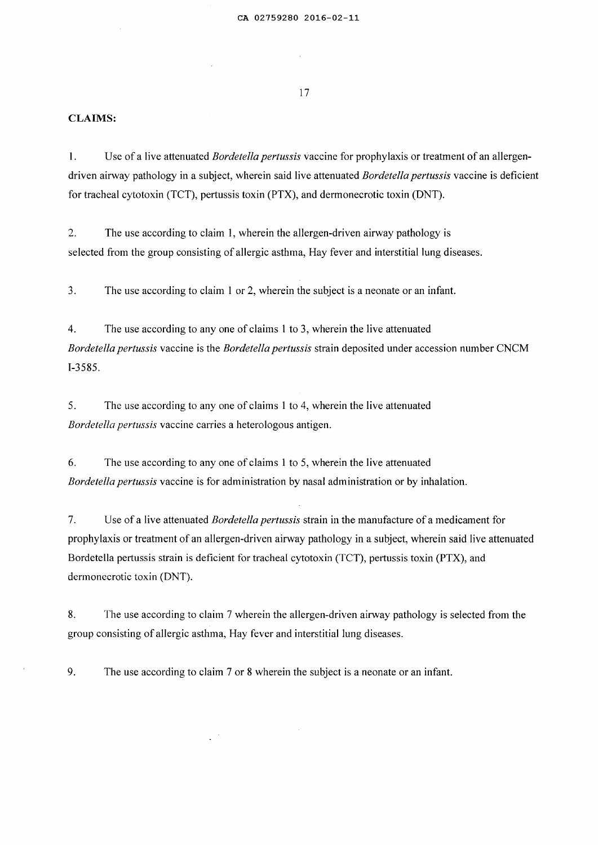#### **CLAIMS:**

1. Use of a live attenuated *Bordetella pertussis* vaccine for prophylaxis or treatment of an allergendriven airway pathology in a subject, wherein said live attenuated *Bordetellapertussis* vaccine is deficient for tracheal cytotoxin (TCT), pertussis toxin (ΡΤΧ), and dermonecrotic toxin (DNT).

2. The use according to claim 1, wherein the allergen-driven airway pathology is selected from the group consisting of allergic asthma, Hay fever and interstitial lung diseases.

3. The use according to claim <sup>1</sup> or 2, wherein the subject is a neonate or an infant.

4. The use according to any one of claims <sup>1</sup> to 3, wherein the live attenuated *Bordetella pertussis* vaccine is the *Bordetella pertussis* strain deposited under accession number CNCM 1-3585.

5. The use according to any one of claims <sup>1</sup> to 4, wherein the live attenuated *Bordetella pertussis* vaccine carries a heterologous antigen.

6. The use according to any one of claims <sup>1</sup> to 5, wherein the live attenuated *Bordetellapertussis* vaccine is for administration by nasal administration or by inhalation.

7. Use of a live attenuated *Bordetella pertussis* strain in the manufacture of a medicament for prophylaxis or treatment of an allergen-driven airway pathology in a subject, wherein said live attenuated Bordetella pertussis strain is deficient for tracheal cytotoxin (TCT), pertussis toxin (ΡΤΧ), and dermonecrotic toxin (DNT).

8. The use according to claim 7 wherein the allergen-driven airway pathology is selected from the group consisting of allergic asthma, Hay fever and interstitial lung diseases.

9. The use according to claim 7 or 8 wherein the subject is a neonate or an infant.

 $\mathbb{R}^{d \times d}$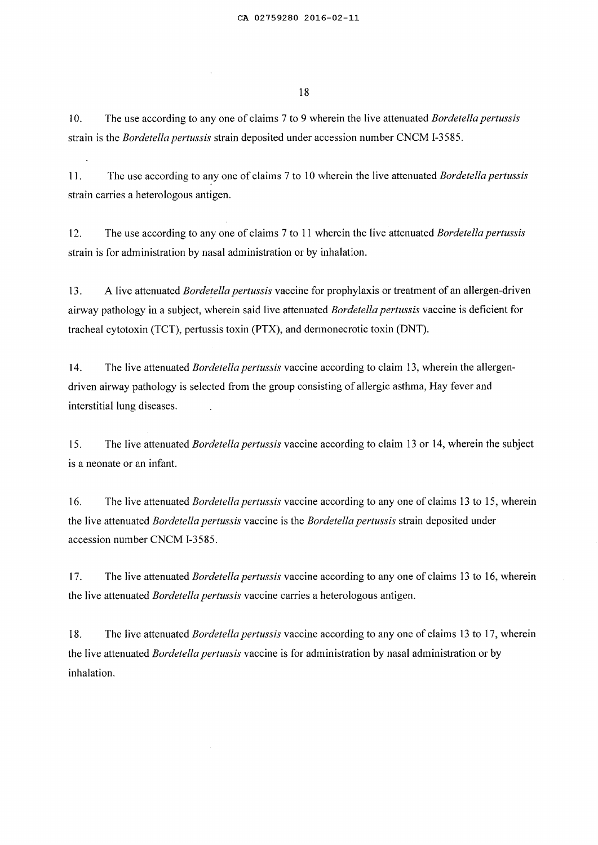10. The use according to any one of claims 7 to 9 wherein the live attenuated *Bordetella pertussis* strain is the *Bordetella pertussis* strain deposited under accession number CNCM I-3585.

11. The use according to any one of claims 7 to 10 wherein the live attenuated *Bordetella pertussis* strain carries a heterologous antigen.

12. The use according to any one of claims 7 to 11 wherein the live attenuated *Bordetella pertussis* strain is for administration by nasal administration or by inhalation.

13. A live attenuated *Bordetella pertussis* vaccine for prophylaxis or treatment of an allergen-driven airway pathology in a subject, wherein said live attenuated *Bordetella pertussis* vaccine is deficient for tracheal cytotoxin (TCT), pertussis toxin (ΡΤΧ), and dermonecrotic toxin (DNT).

14. The live attenuated *Bordetella pertussis* vaccine according to claim 13, wherein the allergendriven airway pathology is selected from the group consisting of allergic asthma, Hay fever and interstitial lung diseases.

15. The live attenuated *Bordetella pertussis* vaccine according to claim 13 or 14, wherein the subject is a neonate or an infant.

16. The live attenuated *Bordetella pertussis* vaccine according to any one of claims 13 to 15, wherein the live attenuated *Bordetella pertussis* vaccine is the *Bordetella pertussis* strain deposited under accession number CNCM 1-3585.

17. The live attenuated *Bordetella pertussis* vaccine according to any one of claims 13 to 16, wherein the live attenuated *Bordetella pertussis* vaccine carries a heterologous antigen.

18. The live attenuated *Bordetella pertussis* vaccine according to any one of claims 13 to 17, wherein the live attenuated *Bordetella pertussis* vaccine is for administration by nasal administration or by inhalation.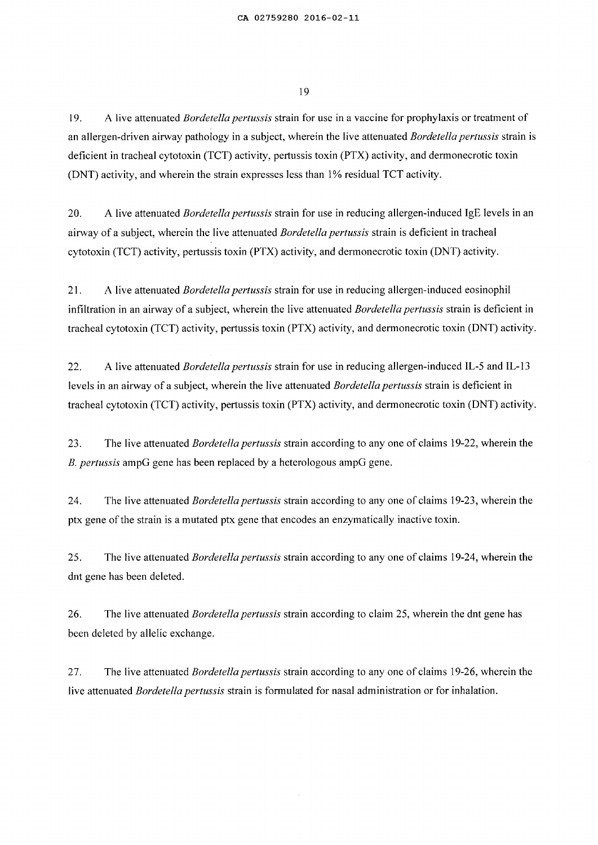19. A live attenuated *Bordetellapertussis* strain for use in a vaccine for prophylaxis or treatment of an allergen-driven airway pathology in a subject, wherein the live attenuated *Bordetella pertussis* strain is deficient in tracheal cytotoxin (TCT) activity, pertussis toxin (ΡΤΧ) activity, and dermonecrotic toxin (DNT) activity, and wherein the strain expresses less than 1% residual TCT activity.

20. A live attenuated *Bordetella pertussis* strain for use in reducing allergen-induced IgE levels in an airway of a subject, wherein the live attenuated *Bordetella pertussis* strain is deficient in tracheal cytotoxin (TCT) activity, pertussis toxin (ΡΤΧ) activity, and dermonecrotic toxin (DNT) activity.

21. A live attenuated *Bordetella pertussis* strain for use in reducing allergen-induced eosinophil infiltration in an airway of a subject, wherein the live attenuated *Bordetella pertussis* strain is deficient in tracheal cytotoxin (TCT) activity, pertussis toxin (ΡΤΧ) activity, and dermonecrotic toxin (DNT) activity.

22. A live attenuated *Bordetella pertussis* strain for use in reducing allergen-induced IL-5 and IL-13 levels in an airway of a subject, wherein the live attenuated *Bordetella pertussis* strain is deficient in tracheal cytotoxin (TCT) activity, pertussis toxin (ΡΤΧ) activity, and dermonecrotic toxin (DNT) activity.

23. The live attenuated *Bordetella pertussis* strain according to any one of claims 19-22, wherein the *Β. pertussis* ampG gene has been replaced by a heterologous ampG gene.

24. The live attenuated *Bordetella pertussis* strain according to any one of claims 19-23, wherein the ptx gene of the strain is a mutated ptx gene that encodes an enzymatically inactive toxin.

25. The live attenuated *Bordetella pertussis* strain according to any one of claims 19-24, wherein the dnt gene has been deleted.

26. The live attenuated *Bordetella pertussis* strain according to claim 25, wherein the dnt gene has been deleted by allelic exchange.

27. The live attenuated *Bordetella pertussis* strain according to any one of claims 19-26, wherein the live attenuated *Bordetella pertussis* strain is formulated for nasal administration or for inhalation.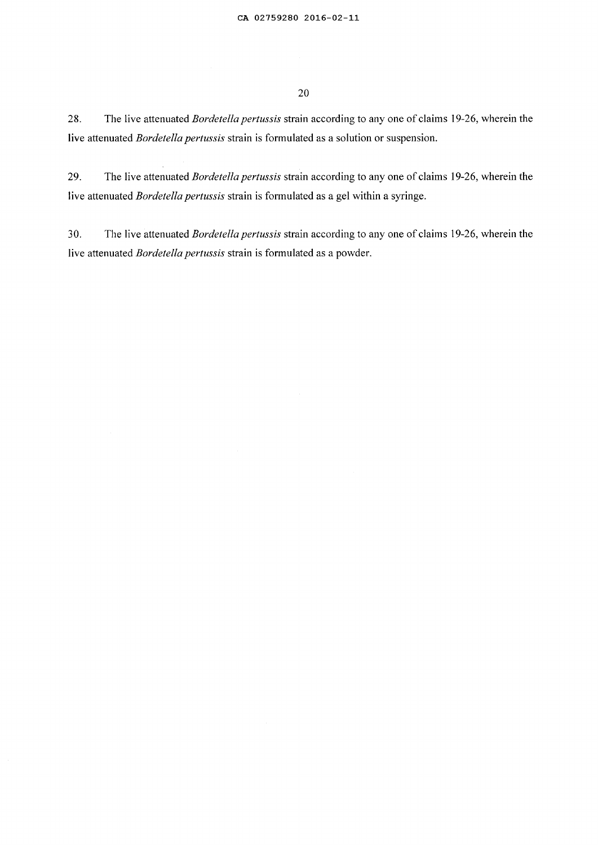28. The live attenuated *Bordetella pertussis* strain according to any one of claims 19-26, wherein the live attenuated *Bordetella pertussis* strain is formulated as a solution or suspension.

29. The live attenuated *Bordetella pertussis* strain according to any one of claims 19-26, wherein the live attenuated *Bordetella pertussis* strain is formulated as a gel within a syringe.

30. The live attenuated *Bordetella pertussis* strain according to any one of claims 19-26, wherein the live attenuated *Bordetella pertussis* strain is formulated as a powder.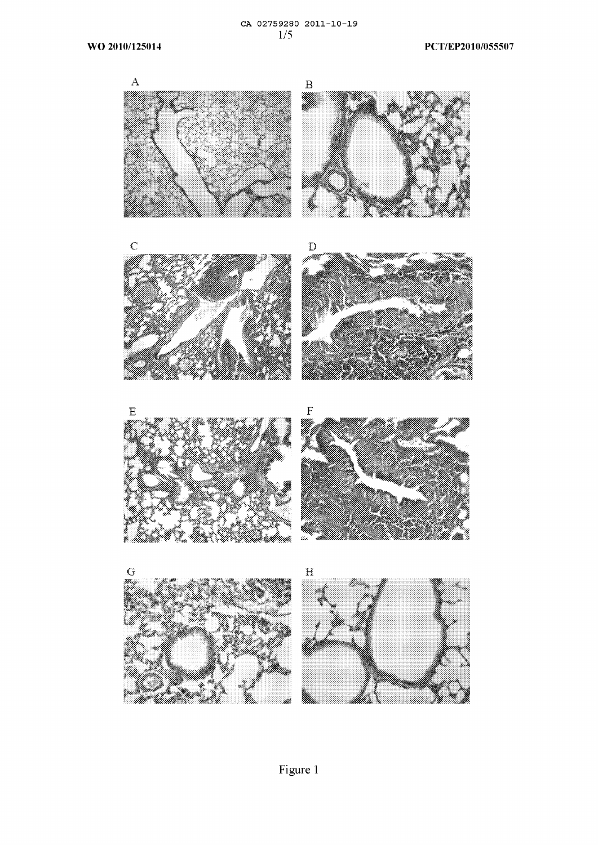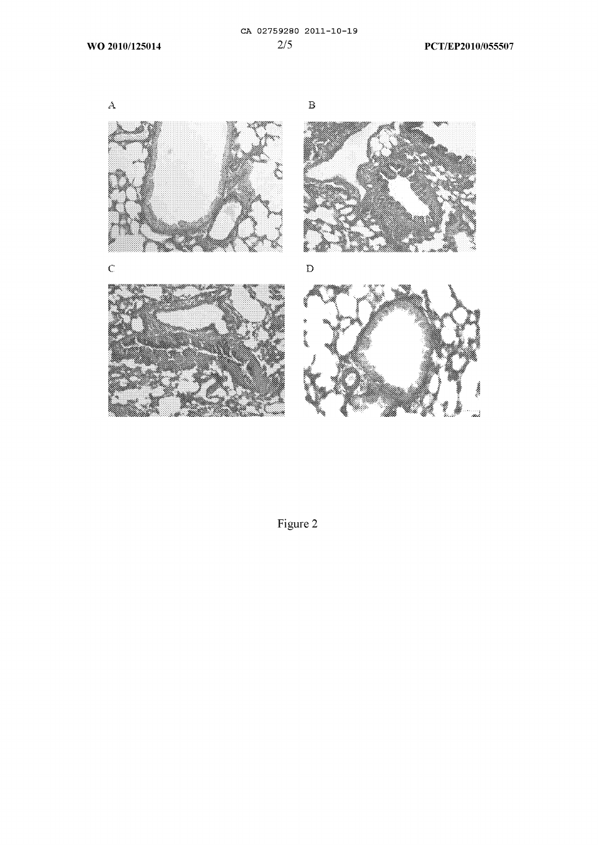





Figure 2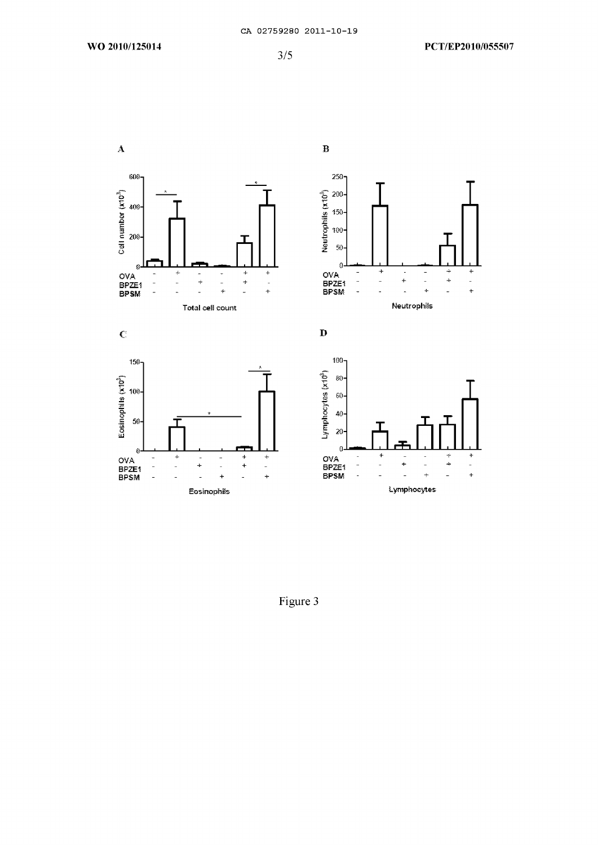$\overline{\mathbf{A}}$ 

B



Figure 3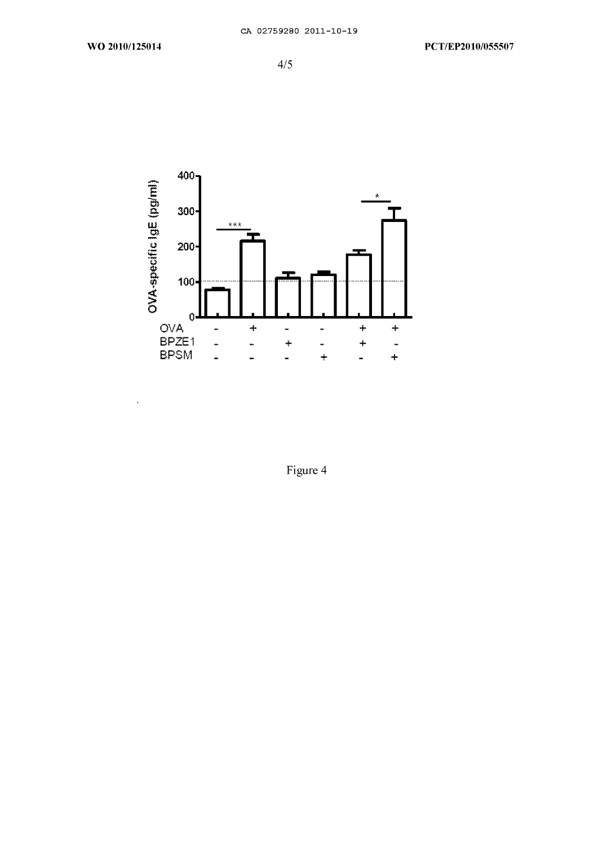$\overline{\phantom{a}}$ 



Figure 4